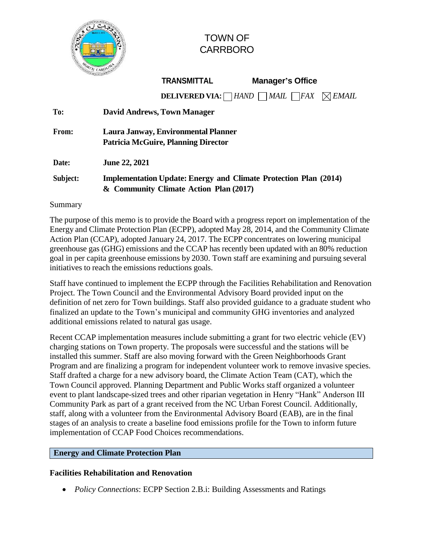

# TOWN OF CARRBORO

|       |                                    | <b>TRANSMITTAL</b>                  | <b>Manager's Office</b>                                               |  |  |  |
|-------|------------------------------------|-------------------------------------|-----------------------------------------------------------------------|--|--|--|
|       |                                    |                                     | <b>DELIVERED VIA:</b> $\Box$ HAND $\Box$ MAIL $\Box$ FAX $\Box$ EMAIL |  |  |  |
| To:   | <b>David Andrews, Town Manager</b> |                                     |                                                                       |  |  |  |
| From: |                                    | Laura Janway, Environmental Planner |                                                                       |  |  |  |

**Date: June 22, 2021**

# **Subject: Implementation Update: Energy and Climate Protection Plan (2014) & Community Climate Action Plan (2017)**

**Patricia McGuire, Planning Director**

Summary

The purpose of this memo is to provide the Board with a progress report on implementation of the Energy and Climate Protection Plan (ECPP), adopted May 28, 2014, and the Community Climate Action Plan (CCAP), adopted January 24, 2017. The ECPP concentrates on lowering municipal greenhouse gas (GHG) emissions and the CCAP has recently been updated with an 80% reduction goal in per capita greenhouse emissions by 2030. Town staff are examining and pursuing several initiatives to reach the emissions reductions goals.

Staff have continued to implement the ECPP through the Facilities Rehabilitation and Renovation Project. The Town Council and the Environmental Advisory Board provided input on the definition of net zero for Town buildings. Staff also provided guidance to a graduate student who finalized an update to the Town's municipal and community GHG inventories and analyzed additional emissions related to natural gas usage.

Recent CCAP implementation measures include submitting a grant for two electric vehicle (EV) charging stations on Town property. The proposals were successful and the stations will be installed this summer. Staff are also moving forward with the Green Neighborhoods Grant Program and are finalizing a program for independent volunteer work to remove invasive species. Staff drafted a charge for a new advisory board, the Climate Action Team (CAT), which the Town Council approved. Planning Department and Public Works staff organized a volunteer event to plant landscape-sized trees and other riparian vegetation in Henry "Hank" Anderson III Community Park as part of a grant received from the NC Urban Forest Council. Additionally, staff, along with a volunteer from the Environmental Advisory Board (EAB), are in the final stages of an analysis to create a baseline food emissions profile for the Town to inform future implementation of CCAP Food Choices recommendations.

# **Energy and Climate Protection Plan**

# **Facilities Rehabilitation and Renovation**

*Policy Connections*: ECPP Section 2.B.i: Building Assessments and Ratings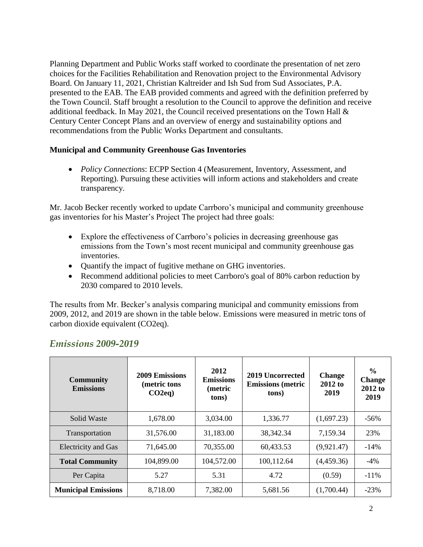Planning Department and Public Works staff worked to coordinate the presentation of net zero choices for the Facilities Rehabilitation and Renovation project to the Environmental Advisory Board. On January 11, 2021, Christian Kaltreider and Ish Sud from Sud Associates, P.A. presented to the EAB. The EAB provided comments and agreed with the definition preferred by the Town Council. Staff brought a resolution to the Council to approve the definition and receive additional feedback. In May 2021, the Council received presentations on the Town Hall & Century Center Concept Plans and an overview of energy and sustainability options and recommendations from the Public Works Department and consultants.

#### **Municipal and Community Greenhouse Gas Inventories**

 *Policy Connections*: ECPP Section 4 (Measurement, Inventory, Assessment, and Reporting). Pursuing these activities will inform actions and stakeholders and create transparency.

Mr. Jacob Becker recently worked to update Carrboro's municipal and community greenhouse gas inventories for his Master's Project The project had three goals:

- Explore the effectiveness of Carrboro's policies in decreasing greenhouse gas emissions from the Town's most recent municipal and community greenhouse gas inventories.
- Quantify the impact of fugitive methane on GHG inventories.
- Recommend additional policies to meet Carrboro's goal of 80% carbon reduction by 2030 compared to 2010 levels.

The results from Mr. Becker's analysis comparing municipal and community emissions from 2009, 2012, and 2019 are shown in the table below. Emissions were measured in metric tons of carbon dioxide equivalent (CO2eq).

| <b>Community</b><br><b>Emissions</b> | 2009 Emissions<br>(metric tons<br>$CO2eq$ ) | 2012<br><b>Emissions</b><br>(metric<br>tons) | 2019 Uncorrected<br><b>Emissions</b> (metric<br>tons) | <b>Change</b><br>2012 to<br>2019 | $\frac{6}{9}$<br><b>Change</b><br>$2012$ to<br>2019 |
|--------------------------------------|---------------------------------------------|----------------------------------------------|-------------------------------------------------------|----------------------------------|-----------------------------------------------------|
| Solid Waste                          | 1,678.00                                    | 3,034.00                                     | 1,336.77                                              | (1,697.23)                       | $-56\%$                                             |
| Transportation                       | 31,576.00                                   | 31,183.00                                    | 38, 342. 34                                           | 7,159.34                         | 23%                                                 |
| <b>Electricity and Gas</b>           | 71,645.00                                   | 70,355.00                                    | 60,433.53                                             | (9,921.47)                       | $-14%$                                              |
| <b>Total Community</b>               | 104,899.00                                  | 104,572.00                                   | 100,112.64                                            | (4,459.36)                       | $-4\%$                                              |
| Per Capita                           | 5.27                                        | 5.31                                         | 4.72                                                  | (0.59)                           | $-11\%$                                             |
| <b>Municipal Emissions</b>           | 8,718.00                                    | 7,382.00                                     | 5,681.56                                              | (1,700.44)                       | $-23%$                                              |

# *Emissions 2009-2019*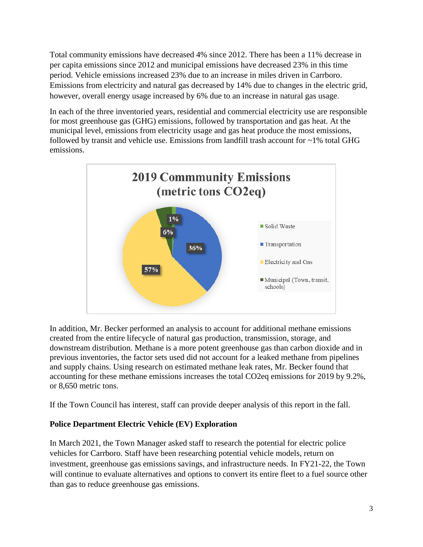Total community emissions have decreased 4% since 2012. There has been a 11% decrease in per capita emissions since 2012 and municipal emissions have decreased 23% in this time period. Vehicle emissions increased 23% due to an increase in miles driven in Carrboro. Emissions from electricity and natural gas decreased by 14% due to changes in the electric grid, however, overall energy usage increased by 6% due to an increase in natural gas usage.

In each of the three inventoried years, residential and commercial electricity use are responsible for most greenhouse gas (GHG) emissions, followed by transportation and gas heat. At the municipal level, emissions from electricity usage and gas heat produce the most emissions, followed by transit and vehicle use. Emissions from landfill trash account for ~1% total GHG emissions.



In addition, Mr. Becker performed an analysis to account for additional methane emissions created from the entire lifecycle of natural gas production, transmission, storage, and downstream distribution. Methane is a more potent greenhouse gas than carbon dioxide and in previous inventories, the factor sets used did not account for a leaked methane from pipelines and supply chains. Using research on estimated methane leak rates, Mr. Becker found that accounting for these methane emissions increases the total CO2eq emissions for 2019 by 9.2%, or 8,650 metric tons.

If the Town Council has interest, staff can provide deeper analysis of this report in the fall.

#### **Police Department Electric Vehicle (EV) Exploration**

In March 2021, the Town Manager asked staff to research the potential for electric police vehicles for Carrboro. Staff have been researching potential vehicle models, return on investment, greenhouse gas emissions savings, and infrastructure needs. In FY21-22, the Town will continue to evaluate alternatives and options to convert its entire fleet to a fuel source other than gas to reduce greenhouse gas emissions.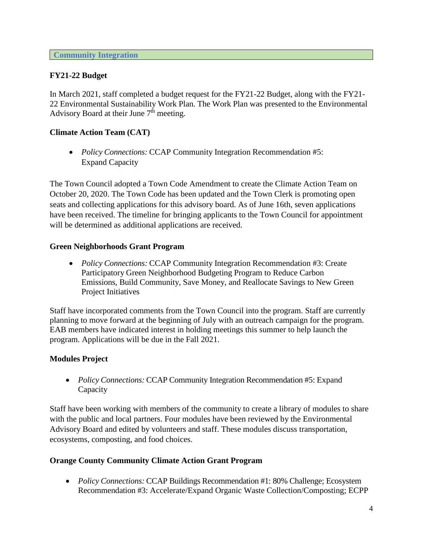### **FY21-22 Budget**

In March 2021, staff completed a budget request for the FY21-22 Budget, along with the FY21- 22 Environmental Sustainability Work Plan. The Work Plan was presented to the Environmental Advisory Board at their June  $7<sup>th</sup>$  meeting.

### **Climate Action Team (CAT)**

 *Policy Connections:* CCAP Community Integration Recommendation #5: Expand Capacity

The Town Council adopted a Town Code Amendment to create the Climate Action Team on October 20, 2020. The Town Code has been updated and the Town Clerk is promoting open seats and collecting applications for this advisory board. As of June 16th, seven applications have been received. The timeline for bringing applicants to the Town Council for appointment will be determined as additional applications are received.

#### **Green Neighborhoods Grant Program**

 *Policy Connections:* CCAP Community Integration Recommendation #3: Create Participatory Green Neighborhood Budgeting Program to Reduce Carbon Emissions, Build Community, Save Money, and Reallocate Savings to New Green Project Initiatives

Staff have incorporated comments from the Town Council into the program. Staff are currently planning to move forward at the beginning of July with an outreach campaign for the program. EAB members have indicated interest in holding meetings this summer to help launch the program. Applications will be due in the Fall 2021.

#### **Modules Project**

 *Policy Connections:* CCAP Community Integration Recommendation #5: Expand Capacity

Staff have been working with members of the community to create a library of modules to share with the public and local partners. Four modules have been reviewed by the Environmental Advisory Board and edited by volunteers and staff. These modules discuss transportation, ecosystems, composting, and food choices.

#### **Orange County Community Climate Action Grant Program**

 *Policy Connections:* CCAP Buildings Recommendation #1: 80% Challenge; Ecosystem Recommendation #3: Accelerate/Expand Organic Waste Collection/Composting; ECPP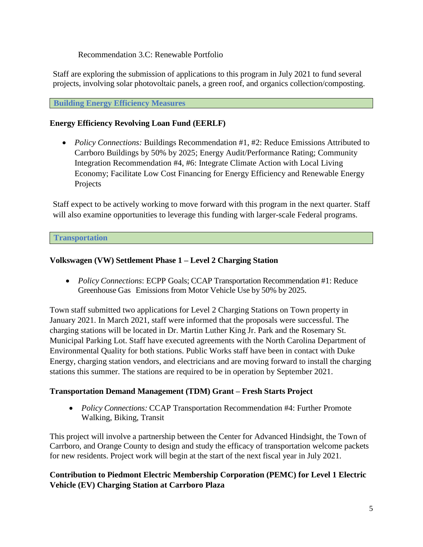Recommendation 3.C: Renewable Portfolio

Staff are exploring the submission of applications to this program in July 2021 to fund several projects, involving solar photovoltaic panels, a green roof, and organics collection/composting.

**Building Energy Efficiency Measures**

### **Energy Efficiency Revolving Loan Fund (EERLF)**

• *Policy Connections:* Buildings Recommendation #1, #2: Reduce Emissions Attributed to Carrboro Buildings by 50% by 2025; Energy Audit/Performance Rating; Community Integration Recommendation #4, #6: Integrate Climate Action with Local Living Economy; Facilitate Low Cost Financing for Energy Efficiency and Renewable Energy Projects

Staff expect to be actively working to move forward with this program in the next quarter. Staff will also examine opportunities to leverage this funding with larger-scale Federal programs.

**Transportation**

# **Volkswagen (VW) Settlement Phase 1 – Level 2 Charging Station**

 *Policy Connections*: ECPP Goals; CCAP Transportation Recommendation #1: Reduce Greenhouse Gas Emissions from Motor Vehicle Use by 50% by 2025.

Town staff submitted two applications for Level 2 Charging Stations on Town property in January 2021. In March 2021, staff were informed that the proposals were successful. The charging stations will be located in Dr. Martin Luther King Jr. Park and the Rosemary St. Municipal Parking Lot. Staff have executed agreements with the North Carolina Department of Environmental Quality for both stations. Public Works staff have been in contact with Duke Energy, charging station vendors, and electricians and are moving forward to install the charging stations this summer. The stations are required to be in operation by September 2021.

# **Transportation Demand Management (TDM) Grant – Fresh Starts Project**

 *Policy Connections:* CCAP Transportation Recommendation #4: Further Promote Walking, Biking, Transit

This project will involve a partnership between the Center for Advanced Hindsight, the Town of Carrboro, and Orange County to design and study the efficacy of transportation welcome packets for new residents. Project work will begin at the start of the next fiscal year in July 2021.

# **Contribution to Piedmont Electric Membership Corporation (PEMC) for Level 1 Electric Vehicle (EV) Charging Station at Carrboro Plaza**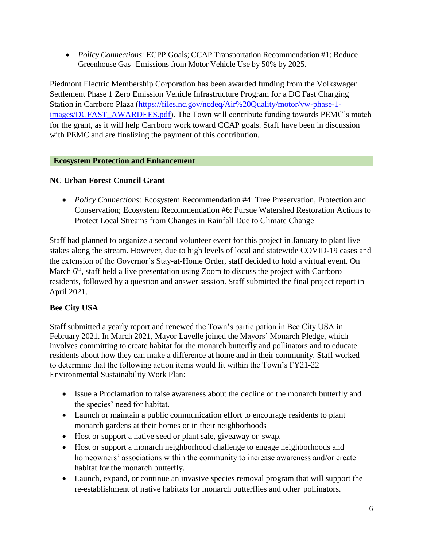*Policy Connections*: ECPP Goals; CCAP Transportation Recommendation #1: Reduce Greenhouse Gas Emissions from Motor Vehicle Use by 50% by 2025.

Piedmont Electric Membership Corporation has been awarded funding from the Volkswagen Settlement Phase 1 Zero Emission Vehicle Infrastructure Program for a DC Fast Charging Station in Carrboro Plaza [\(https://files.nc.gov/ncdeq/Air%20Quality/motor/vw-phase-1](https://files.nc.gov/ncdeq/Air%20Quality/motor/vw-phase-1-images/DCFAST_AWARDEES.pdf) [images/DCFAST\\_AWARDEES.pdf\)](https://files.nc.gov/ncdeq/Air%20Quality/motor/vw-phase-1-images/DCFAST_AWARDEES.pdf). The Town will contribute funding towards PEMC's match for the grant, as it will help Carrboro work toward CCAP goals. Staff have been in discussion with PEMC and are finalizing the payment of this contribution.

# **Ecosystem Protection and Enhancement**

# **NC Urban Forest Council Grant**

 *Policy Connections:* Ecosystem Recommendation #4: Tree Preservation, Protection and Conservation; Ecosystem Recommendation #6: Pursue Watershed Restoration Actions to Protect Local Streams from Changes in Rainfall Due to Climate Change

Staff had planned to organize a second volunteer event for this project in January to plant live stakes along the stream. However, due to high levels of local and statewide COVID-19 cases and the extension of the Governor's Stay-at-Home Order, staff decided to hold a virtual event. On March 6<sup>th</sup>, staff held a live presentation using Zoom to discuss the project with Carrboro residents, followed by a question and answer session. Staff submitted the final project report in April 2021.

# **Bee City USA**

Staff submitted a yearly report and renewed the Town's participation in Bee City USA in February 2021. In March 2021, Mayor Lavelle joined the Mayors' Monarch Pledge, which involves committing to create habitat for the monarch butterfly and pollinators and to educate residents about how they can make a difference at home and in their community. Staff worked to determine that the following action items would fit within the Town's FY21-22 Environmental Sustainability Work Plan:

- Issue a Proclamation to raise awareness about the decline of the monarch butterfly and the species' need for habitat.
- Launch or maintain a public communication effort to encourage residents to plant monarch gardens at their homes or in their neighborhoods
- Host or support a native seed or plant sale, give a way or swap.
- Host or support a monarch neighborhood challenge to engage neighborhoods and homeowners' associations within the community to increase awareness and/or create habitat for the monarch butterfly.
- Launch, expand, or continue an invasive species removal program that will support the re-establishment of native habitats for monarch butterflies and other pollinators.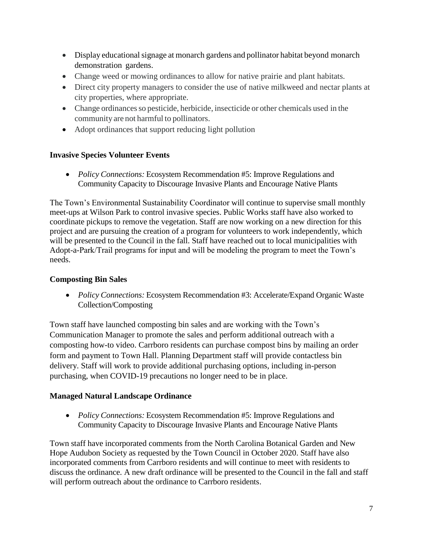- Display educational signage at monarch gardens and pollinator habitat beyond monarch demonstration gardens.
- Change weed or mowing ordinances to allow for native prairie and plant habitats.
- Direct city property managers to consider the use of native milkweed and nectar plants at city properties, where appropriate.
- Change ordinances so pesticide, herbicide, insecticide or other chemicals used in the community are not harmful to pollinators.
- Adopt ordinances that support reducing light pollution

### **Invasive Species Volunteer Events**

 *Policy Connections:* Ecosystem Recommendation #5: Improve Regulations and Community Capacity to Discourage Invasive Plants and Encourage Native Plants

The Town's Environmental Sustainability Coordinator will continue to supervise small monthly meet-ups at Wilson Park to control invasive species. Public Works staff have also worked to coordinate pickups to remove the vegetation. Staff are now working on a new direction for this project and are pursuing the creation of a program for volunteers to work independently, which will be presented to the Council in the fall. Staff have reached out to local municipalities with Adopt-a-Park/Trail programs for input and will be modeling the program to meet the Town's needs.

#### **Composting Bin Sales**

 *Policy Connections:* Ecosystem Recommendation #3: Accelerate/Expand Organic Waste Collection/Composting

Town staff have launched composting bin sales and are working with the Town's Communication Manager to promote the sales and perform additional outreach with a composting how-to video. Carrboro residents can purchase compost bins by mailing an order form and payment to Town Hall. Planning Department staff will provide contactless bin delivery. Staff will work to provide additional purchasing options, including in-person purchasing, when COVID-19 precautions no longer need to be in place.

#### **Managed Natural Landscape Ordinance**

 *Policy Connections:* Ecosystem Recommendation #5: Improve Regulations and Community Capacity to Discourage Invasive Plants and Encourage Native Plants

Town staff have incorporated comments from the North Carolina Botanical Garden and New Hope Audubon Society as requested by the Town Council in October 2020. Staff have also incorporated comments from Carrboro residents and will continue to meet with residents to discuss the ordinance. A new draft ordinance will be presented to the Council in the fall and staff will perform outreach about the ordinance to Carrboro residents.